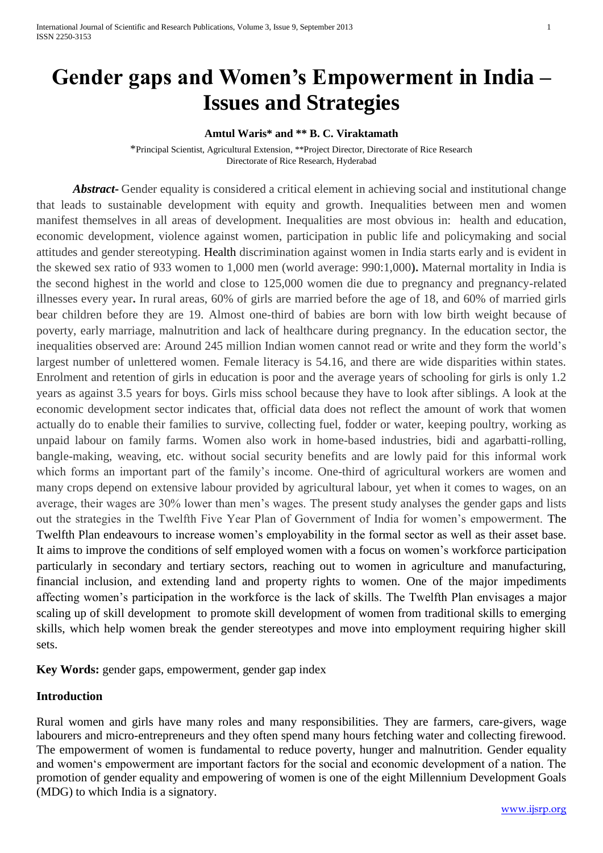# **Gender gaps and Women's Empowerment in India – Issues and Strategies**

#### **Amtul Waris\* and \*\* B. C. Viraktamath**

\*Principal Scientist, Agricultural Extension, \*\*Project Director, Directorate of Rice Research Directorate of Rice Research, Hyderabad

*Abstract***-** Gender equality is considered a critical element in achieving social and institutional change that leads to sustainable development with equity and growth. Inequalities between men and women manifest themselves in all areas of development. Inequalities are most obvious in: health and education, economic development, violence against women, participation in public life and policymaking and social attitudes and gender stereotyping. Health discrimination against women in India starts early and is evident in the skewed sex ratio of 933 women to 1,000 men (world average: 990:1,000**).** Maternal mortality in India is the second highest in the world and close to 125,000 women die due to pregnancy and pregnancy-related illnesses every year**.** In rural areas, 60% of girls are married before the age of 18, and 60% of married girls bear children before they are 19. Almost one-third of babies are born with low birth weight because of poverty, early marriage, malnutrition and lack of healthcare during pregnancy. In the education sector, the inequalities observed are: Around 245 million Indian women cannot read or write and they form the world's largest number of unlettered women. Female literacy is 54.16, and there are wide disparities within states. Enrolment and retention of girls in education is poor and the average years of schooling for girls is only 1.2 years as against 3.5 years for boys. Girls miss school because they have to look after siblings. A look at the economic development sector indicates that, official data does not reflect the amount of work that women actually do to enable their families to survive, collecting fuel, fodder or water, keeping poultry, working as unpaid labour on family farms. Women also work in home-based industries, bidi and agarbatti-rolling, bangle-making, weaving, etc. without social security benefits and are lowly paid for this informal work which forms an important part of the family's income. One-third of agricultural workers are women and many crops depend on extensive labour provided by agricultural labour, yet when it comes to wages, on an average, their wages are 30% lower than men's wages. The present study analyses the gender gaps and lists out the strategies in the Twelfth Five Year Plan of Government of India for women's empowerment. The Twelfth Plan endeavours to increase women's employability in the formal sector as well as their asset base. It aims to improve the conditions of self employed women with a focus on women's workforce participation particularly in secondary and tertiary sectors, reaching out to women in agriculture and manufacturing, financial inclusion, and extending land and property rights to women. One of the major impediments affecting women's participation in the workforce is the lack of skills. The Twelfth Plan envisages a major scaling up of skill development to promote skill development of women from traditional skills to emerging skills, which help women break the gender stereotypes and move into employment requiring higher skill sets.

**Key Words:** gender gaps, empowerment, gender gap index

#### **Introduction**

Rural women and girls have many roles and many responsibilities. They are farmers, care-givers, wage labourers and micro-entrepreneurs and they often spend many hours fetching water and collecting firewood. The empowerment of women is fundamental to reduce poverty, hunger and malnutrition. Gender equality and women's empowerment are important factors for the social and economic development of a nation. The promotion of gender equality and empowering of women is one of the eight Millennium Development Goals (MDG) to which India is a signatory.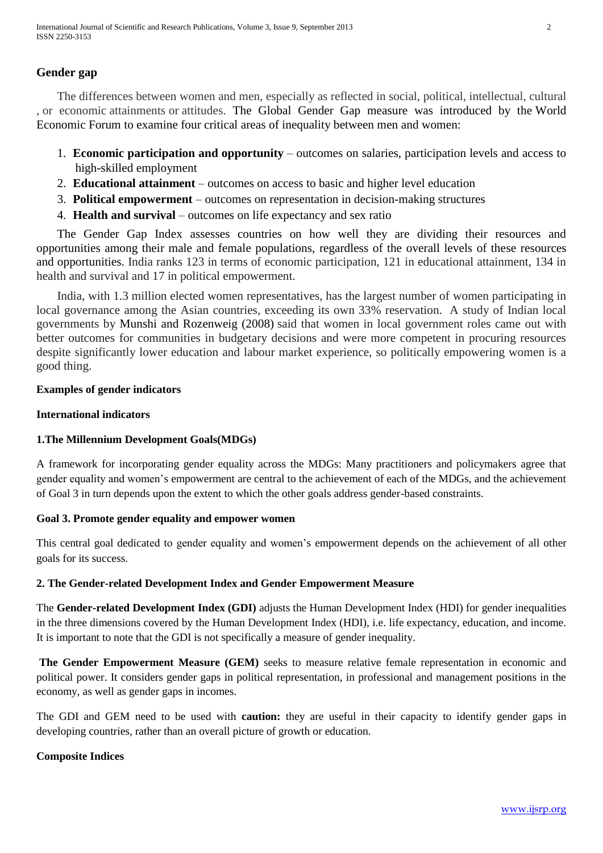# **Gender gap**

The differences between women and men, especially as reflected in social, political, intellectual, cultural , or economic attainments or attitudes. The Global Gender Gap measure was introduced by the [World](http://www.wikigender.org/index.php/World_Economic_Forum)  [Economic Forum](http://www.wikigender.org/index.php/World_Economic_Forum) to examine four critical areas of inequality between men and women:

- 1. **Economic participation and opportunity** outcomes on salaries, participation levels and access to high-skilled employment
- 2. **Educational attainment** outcomes on access to basic and higher level education
- 3. **Political empowerment** outcomes on representation in decision-making structures
- 4. **Health and survival** outcomes on life expectancy and sex ratio

The Gender Gap Index assesses countries on how well they are dividing their resources and opportunities among their male and female populations, regardless of the overall levels of these resources and opportunities. India ranks 123 in terms of economic participation, 121 in educational attainment, 134 in health and survival and 17 in political empowerment.

India, with 1.3 million elected women representatives, has the largest number of women participating in local governance among the Asian countries, exceeding its own 33% reservation. A study of Indian local governments by Munshi and Rozenweig (2008) said that women in local government roles came out with better outcomes for communities in budgetary decisions and were more competent in procuring resources despite significantly lower education and labour market experience, so politically empowering women is a good thing.

### **Examples of gender indicators**

### **International indicators**

## **1.The Millennium Development Goals(MDGs)**

A framework for incorporating gender equality across the MDGs: Many practitioners and policymakers agree that gender equality and women's empowerment are central to the achievement of each of the MDGs, and the achievement of Goal 3 in turn depends upon the extent to which the other goals address gender-based constraints.

#### **Goal 3. Promote gender equality and empower women**

This central goal dedicated to gender equality and women's empowerment depends on the achievement of all other goals for its success.

#### **2. The Gender-related Development Index and Gender Empowerment Measure**

The **Gender-related Development Index (GDI)** adjusts the Human Development Index (HDI) for gender inequalities in the three dimensions covered by the Human Development Index (HDI), i.e. life expectancy, education, and income. It is important to note that the GDI is not specifically a measure of gender inequality.

**The Gender Empowerment Measure (GEM)** seeks to measure relative female representation in economic and political power. It considers gender gaps in political representation, in professional and management positions in the economy, as well as gender gaps in incomes.

The GDI and GEM need to be used with **caution:** they are useful in their capacity to identify gender gaps in developing countries, rather than an overall picture of growth or education.

## **Composite Indices**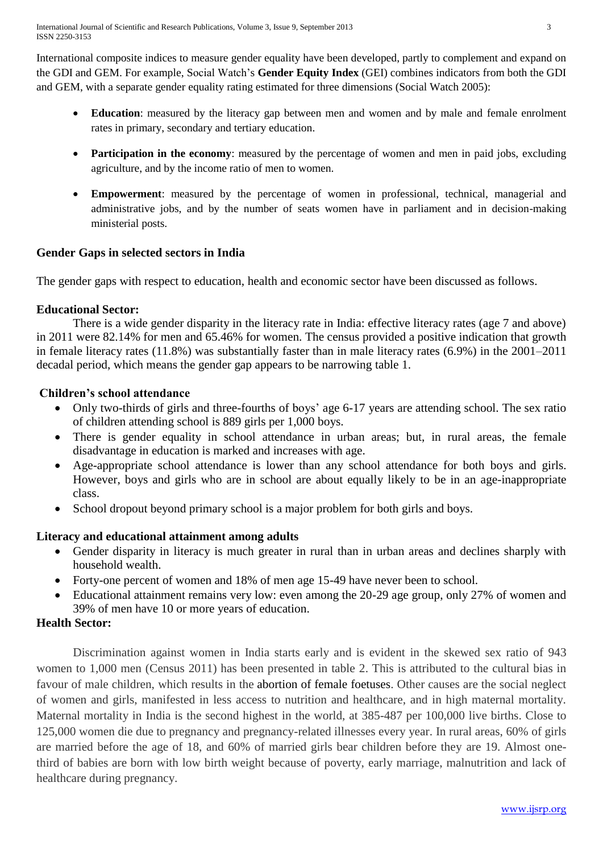International composite indices to measure gender equality have been developed, partly to complement and expand on the GDI and GEM. For example, Social Watch's **Gender Equity Index** (GEI) combines indicators from both the GDI and GEM, with a separate gender equality rating estimated for three dimensions (Social Watch 2005):

- **Education**: measured by the literacy gap between men and women and by male and female enrolment rates in primary, secondary and tertiary education.
- **Participation in the economy**: measured by the percentage of women and men in paid jobs, excluding agriculture, and by the income ratio of men to women.
- **Empowerment**: measured by the percentage of women in professional, technical, managerial and administrative jobs, and by the number of seats women have in parliament and in decision-making ministerial posts.

## **Gender Gaps in selected sectors in India**

The gender gaps with respect to education, health and economic sector have been discussed as follows.

## **Educational Sector:**

There is a wide gender disparity in the literacy rate in India: effective literacy rates (age 7 and above) in 2011 were 82.14% for men and 65.46% for women. The census provided a positive indication that growth in female literacy rates (11.8%) was substantially faster than in male literacy rates (6.9%) in the 2001–2011 decadal period, which means the gender gap appears to be narrowing table 1.

## **Children's school attendance**

- Only two-thirds of girls and three-fourths of boys' age 6-17 years are attending school. The sex ratio of children attending school is 889 girls per 1,000 boys.
- There is gender equality in school attendance in urban areas; but, in rural areas, the female disadvantage in education is marked and increases with age.
- Age-appropriate school attendance is lower than any school attendance for both boys and girls. However, boys and girls who are in school are about equally likely to be in an age-inappropriate class.
- School dropout beyond primary school is a major problem for both girls and boys.

# **Literacy and educational attainment among adults**

- Gender disparity in literacy is much greater in rural than in urban areas and declines sharply with household wealth.
- Forty-one percent of women and 18% of men age 15-49 have never been to school.
- Educational attainment remains very low: even among the 20-29 age group, only 27% of women and 39% of men have 10 or more years of education.

# **Health Sector:**

Discrimination against women in India starts early and is evident in the skewed sex ratio of 943 women to 1,000 men (Census 2011) has been presented in table 2. This is attributed to the cultural bias in favour of male children, which results in the [abortion of female foetuses.](http://www.pacsindia.org/news-articles/girl-sex-ratios-2001) Other causes are the social neglect of women and girls, manifested in less access to nutrition and healthcare, and in high maternal mortality. Maternal mortality in India is the second highest in the world, at 385-487 per 100,000 live births. Close to 125,000 women die due to pregnancy and pregnancy-related illnesses every year. In rural areas, 60% of girls are married before the age of 18, and 60% of married girls bear children before they are 19. Almost onethird of babies are born with low birth weight because of poverty, early marriage, malnutrition and lack of healthcare during pregnancy.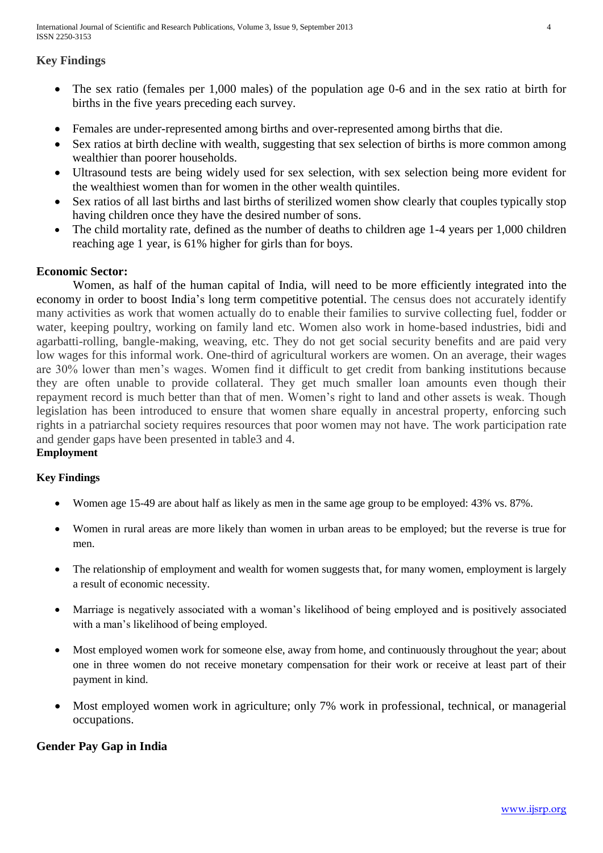International Journal of Scientific and Research Publications, Volume 3, Issue 9, September 2013 4 ISSN 2250-3153

# **Key Findings**

- The sex ratio (females per 1,000 males) of the population age 0-6 and in the sex ratio at birth for births in the five years preceding each survey.
- Females are under-represented among births and over-represented among births that die.
- Sex ratios at birth decline with wealth, suggesting that sex selection of births is more common among wealthier than poorer households.
- Ultrasound tests are being widely used for sex selection, with sex selection being more evident for the wealthiest women than for women in the other wealth quintiles.
- Sex ratios of all last births and last births of sterilized women show clearly that couples typically stop having children once they have the desired number of sons.
- The child mortality rate, defined as the number of deaths to children age 1-4 years per 1,000 children reaching age 1 year, is 61% higher for girls than for boys.

## **Economic Sector:**

Women, as half of the human capital of India, will need to be more efficiently integrated into the economy in order to boost India's long term competitive potential. The census does not accurately identify many activities as work that women actually do to enable their families to survive collecting fuel, fodder or water, keeping poultry, working on family land etc. Women also work in home-based industries, bidi and agarbatti-rolling, bangle-making, weaving, etc. They do not get social security benefits and are paid very low wages for this informal work. One-third of agricultural workers are women. On an average, their wages are 30% lower than men's wages. Women find it difficult to get credit from banking institutions because they are often unable to provide collateral. They get much smaller loan amounts even though their repayment record is much better than that of men. Women's right to land and other assets is weak. Though legislation has been introduced to ensure that women share equally in ancestral property, enforcing such rights in a patriarchal society requires resources that poor women may not have. The work participation rate and gender gaps have been presented in table3 and 4.

## **Employment**

## **Key Findings**

- Women age 15-49 are about half as likely as men in the same age group to be employed: 43% vs. 87%.
- Women in rural areas are more likely than women in urban areas to be employed; but the reverse is true for men.
- The relationship of employment and wealth for women suggests that, for many women, employment is largely a result of economic necessity.
- Marriage is negatively associated with a woman's likelihood of being employed and is positively associated with a man's likelihood of being employed.
- Most employed women work for someone else, away from home, and continuously throughout the year; about one in three women do not receive monetary compensation for their work or receive at least part of their payment in kind.
- Most employed women work in agriculture; only 7% work in professional, technical, or managerial occupations.

# **Gender Pay Gap in India**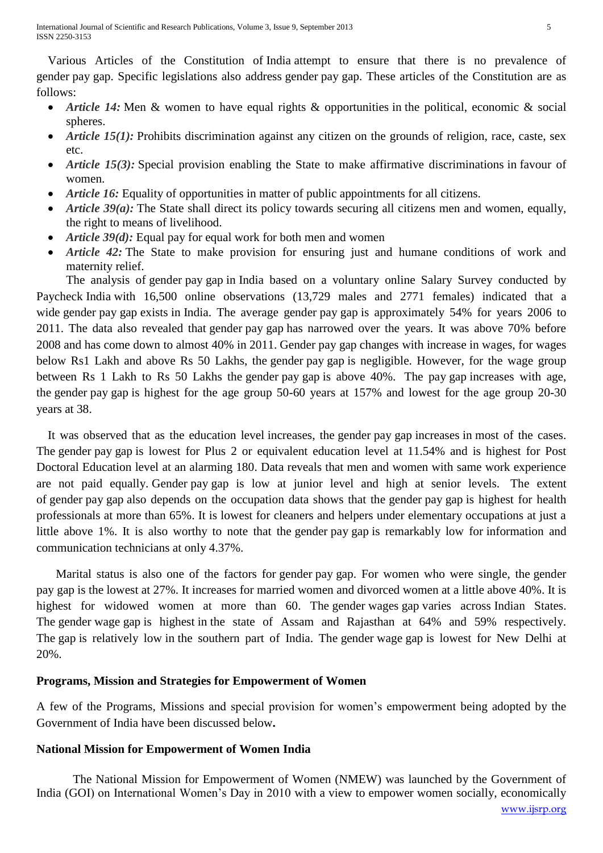Various Articles of the Constitution of India attempt to ensure that there is no prevalence of gender pay gap. Specific legislations also address gender pay gap. These articles of the Constitution are as follows:

- *Article 14:* Men & women to have equal rights & opportunities in the political, economic & social spheres.
- *Article 15(1):* Prohibits discrimination against any citizen on the grounds of religion, race, caste, sex etc.
- *Article 15(3):* Special provision enabling the State to make affirmative discriminations in favour of women.
- *Article 16:* Equality of opportunities in matter of public appointments for all citizens.
- *Article 39(a):* The State shall direct its policy towards securing all citizens men and women, equally, the right to means of livelihood.
- *Article 39(d):* Equal pay for equal work for both men and women
- *Article 42:* The State to make provision for ensuring just and humane conditions of work and maternity relief.

The analysis of gender pay gap in India based on a voluntary online Salary Survey conducted by Paycheck India with 16,500 online observations (13,729 males and 2771 females) indicated that a wide gender pay gap exists in India. The average gender pay gap is approximately 54% for years 2006 to 2011. The data also revealed that gender pay gap has narrowed over the years. It was above 70% before 2008 and has come down to almost 40% in 2011. Gender pay gap changes with increase in wages, for wages below Rs1 Lakh and above Rs 50 Lakhs, the gender pay gap is negligible. However, for the wage group between Rs 1 Lakh to Rs 50 Lakhs the gender pay gap is above 40%. The pay gap increases with age, the gender pay gap is highest for the age group 50-60 years at 157% and lowest for the age group 20-30 years at 38.

It was observed that as the education level increases, the gender pay gap increases in most of the cases. The gender pay gap is lowest for Plus 2 or equivalent education level at 11.54% and is highest for Post Doctoral Education level at an alarming 180. Data reveals that men and women with same work experience are not paid equally. Gender pay gap is low at junior level and high at senior levels. The extent of gender pay gap also depends on the occupation data shows that the gender pay gap is highest for health professionals at more than 65%. It is lowest for cleaners and helpers under elementary occupations at just a little above 1%. It is also worthy to note that the gender pay gap is remarkably low for information and communication technicians at only 4.37%.

Marital status is also one of the factors for gender pay gap. For women who were single, the gender pay gap is the lowest at 27%. It increases for married women and divorced women at a little above 40%. It is highest for widowed women at more than 60. The gender wages gap varies across Indian States. The gender wage gap is highest in the state of Assam and Rajasthan at 64% and 59% respectively. The gap is relatively low in the southern part of India. The gender wage gap is lowest for New Delhi at 20%.

# **Programs, Mission and Strategies for Empowerment of Women**

A few of the Programs, Missions and special provision for women's empowerment being adopted by the Government of India have been discussed below**.** 

# **National Mission for Empowerment of Women India**

The National Mission for Empowerment of Women (NMEW) was launched by the Government of India (GOI) on International Women's Day in 2010 with a view to empower women socially, economically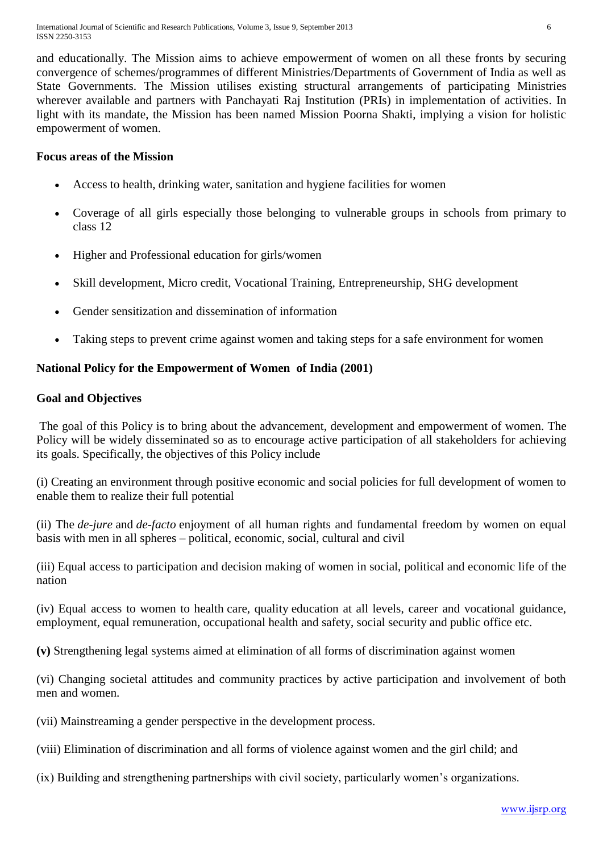and educationally. The Mission aims to achieve empowerment of women on all these fronts by securing convergence of schemes/programmes of different Ministries/Departments of Government of India as well as State Governments. The Mission utilises existing structural arrangements of participating Ministries wherever available and partners with Panchayati Raj Institution (PRIs) in implementation of activities. In light with its mandate, the Mission has been named Mission Poorna Shakti, implying a vision for holistic empowerment of women.

# **Focus areas of the Mission**

- Access to health, drinking water, sanitation and hygiene facilities for women
- Coverage of all girls especially those belonging to vulnerable groups in schools from primary to class 12
- Higher and Professional education for girls/women
- Skill development, Micro credit, Vocational Training, Entrepreneurship, SHG development
- Gender sensitization and dissemination of information
- Taking steps to prevent crime against women and taking steps for a safe environment for women

# **National Policy for the Empowerment of Women of India (2001)**

## **Goal and Objectives**

The goal of this Policy is to bring about the advancement, development and empowerment of women. The Policy will be widely disseminated so as to encourage active participation of all stakeholders for achieving its goals. Specifically, the objectives of this Policy include

(i) Creating an environment through positive economic and social policies for full development of women to enable them to realize their full potential

(ii) The *de-jure* and *de-facto* enjoyment of all human rights and fundamental freedom by women on equal basis with men in all spheres – political, economic, social, cultural and civil

(iii) Equal access to participation and decision making of women in social, political and economic life of the nation

(iv) Equal access to women to health care, quality education at all levels, career and vocational guidance, employment, equal remuneration, occupational health and safety, social security and public office etc.

**(v)** Strengthening legal systems aimed at elimination of all forms of discrimination against women

(vi) Changing societal attitudes and community practices by active participation and involvement of both men and women.

(vii) Mainstreaming a gender perspective in the development process.

(viii) Elimination of discrimination and all forms of violence against women and the girl child; and

(ix) Building and strengthening partnerships with civil society, particularly women's organizations.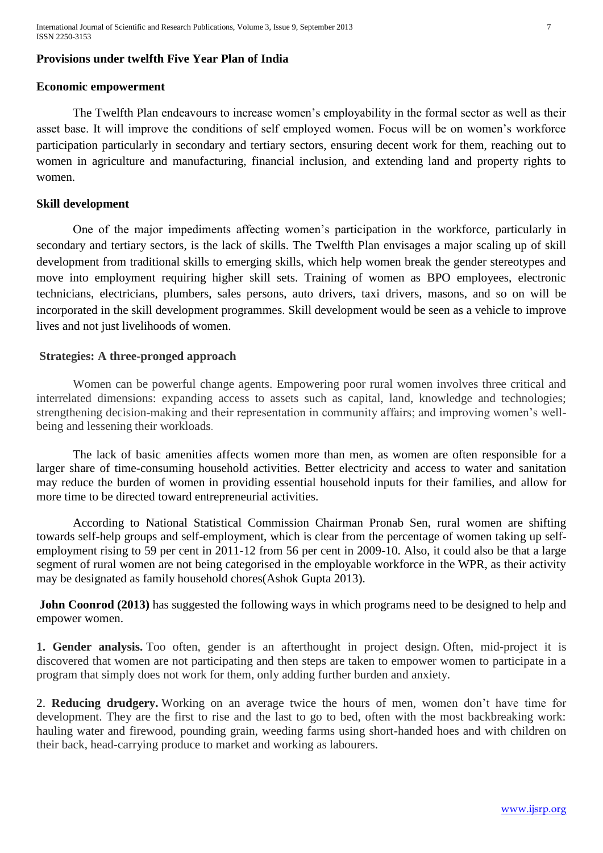International Journal of Scientific and Research Publications, Volume 3, Issue 9, September 2013 7 ISSN 2250-3153

## **Provisions under twelfth Five Year Plan of India**

#### **Economic empowerment**

The Twelfth Plan endeavours to increase women's employability in the formal sector as well as their asset base. It will improve the conditions of self employed women. Focus will be on women's workforce participation particularly in secondary and tertiary sectors, ensuring decent work for them, reaching out to women in agriculture and manufacturing, financial inclusion, and extending land and property rights to women.

#### **Skill development**

One of the major impediments affecting women's participation in the workforce, particularly in secondary and tertiary sectors, is the lack of skills. The Twelfth Plan envisages a major scaling up of skill development from traditional skills to emerging skills, which help women break the gender stereotypes and move into employment requiring higher skill sets. Training of women as BPO employees, electronic technicians, electricians, plumbers, sales persons, auto drivers, taxi drivers, masons, and so on will be incorporated in the skill development programmes. Skill development would be seen as a vehicle to improve lives and not just livelihoods of women.

#### **Strategies: A three-pronged approach**

Women can be powerful change agents. Empowering poor rural women involves three critical and interrelated dimensions: expanding access to assets such as capital, land, knowledge and technologies; strengthening decision-making and their representation in community affairs; and improving women's wellbeing and lessening their workloads.

The lack of basic amenities affects women more than men, as women are often responsible for a larger share of time-consuming household activities. Better electricity and access to water and sanitation may reduce the burden of women in providing essential household inputs for their families, and allow for more time to be directed toward entrepreneurial activities.

According to National Statistical Commission Chairman Pronab Sen, rural women are shifting towards self-help groups and self-employment, which is clear from the percentage of women taking up selfemployment rising to 59 per cent in 2011-12 from 56 per cent in 2009-10. Also, it could also be that a large segment of rural women are not being categorised in the employable workforce in the WPR, as their activity may be designated as family household chores(Ashok Gupta 2013).

**John Coonrod (2013)** has suggested the following ways in which programs need to be designed to help and empower women.

**1. Gender analysis.** Too often, gender is an afterthought in project design. Often, mid-project it is discovered that women are not participating and then steps are taken to empower women to participate in a program that simply does not work for them, only adding further burden and anxiety.

2. **Reducing drudgery.** Working on an average twice the hours of men, women don't have time for development. They are the first to rise and the last to go to bed, often with the most backbreaking work: hauling water and firewood, pounding grain, weeding farms using short-handed hoes and with children on their back, head-carrying produce to market and working as labourers.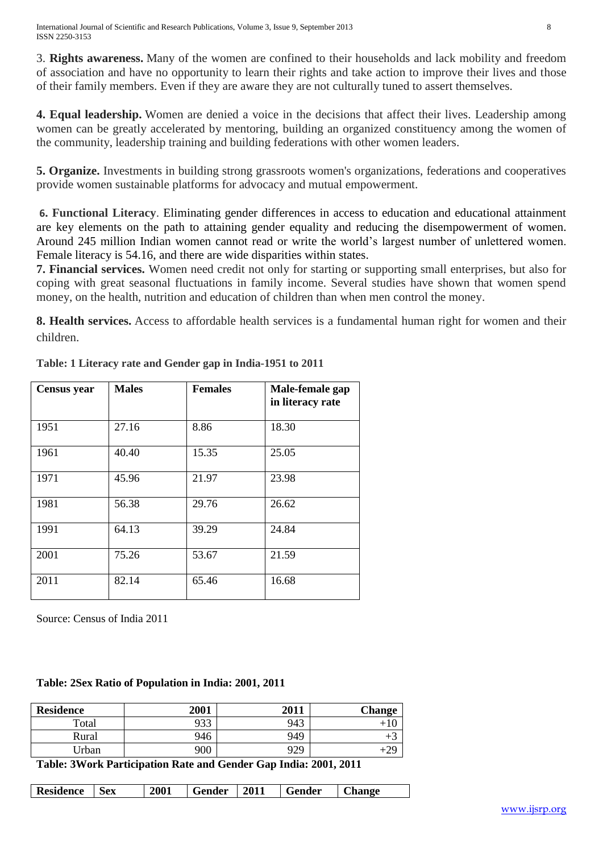3. **Rights awareness.** Many of the women are confined to their households and lack mobility and freedom of association and have no opportunity to learn their rights and take action to improve their lives and those of their family members. Even if they are aware they are not culturally tuned to assert themselves.

**4. Equal leadership.** Women are denied a voice in the decisions that affect their lives. Leadership among women can be greatly accelerated by mentoring, building an organized constituency among the women of the community, leadership training and building federations with other women leaders.

**5. Organize.** Investments in building strong grassroots women's organizations, federations and cooperatives provide women sustainable platforms for advocacy and mutual empowerment.

**6. Functional Literacy**. Eliminating gender differences in access to education and educational attainment are key elements on the path to attaining gender equality and reducing the disempowerment of women. Around 245 million Indian women cannot read or write the world's largest number of unlettered women. Female literacy is 54.16, and there are wide disparities within states.

**7. Financial services.** Women need credit not only for starting or supporting small enterprises, but also for coping with great seasonal fluctuations in family income. Several studies have shown that women spend money, on the health, nutrition and education of children than when men control the money.

**8. Health services.** Access to affordable health services is a fundamental human right for women and their children.

| <b>Census</b> year | <b>Males</b> | <b>Females</b> | Male-female gap<br>in literacy rate |
|--------------------|--------------|----------------|-------------------------------------|
| 1951               | 27.16        | 8.86           | 18.30                               |
| 1961               | 40.40        | 15.35          | 25.05                               |
| 1971               | 45.96        | 21.97          | 23.98                               |
| 1981               | 56.38        | 29.76          | 26.62                               |
| 1991               | 64.13        | 39.29          | 24.84                               |
| 2001               | 75.26        | 53.67          | 21.59                               |
| 2011               | 82.14        | 65.46          | 16.68                               |

**Table: 1 Literacy rate and Gender gap in India-1951 to 2011**

Source: Census of India 2011

#### **Table: 2Sex Ratio of Population in India: 2001, 2011**

| <b>Residence</b> | 2001       | 2011       | <b>Change</b> |
|------------------|------------|------------|---------------|
| Total            | 022<br>,,, | 943        | . U           |
| Rural            | 946        | 949        | тJ            |
| Jrban            | 900        | 979<br>フムフ | $+29$         |

**Table: 3Work Participation Rate and Gender Gap India: 2001, 2011**

| <b>Residence</b> | <b>Sex</b> | 2001 | Gender | 2011 | Gender | <b>Change</b> |
|------------------|------------|------|--------|------|--------|---------------|
|------------------|------------|------|--------|------|--------|---------------|